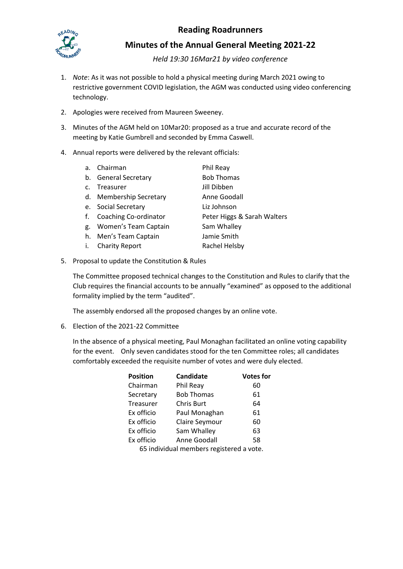

## **Reading Roadrunners**

**Minutes of the Annual General Meeting 2021-22**

*Held 19:30 16Mar21 by video conference*

- 1. *Note*: As it was not possible to hold a physical meeting during March 2021 owing to restrictive government COVID legislation, the AGM was conducted using video conferencing technology.
- 2. Apologies were received from Maureen Sweeney.
- 3. Minutes of the AGM held on 10Mar20: proposed as a true and accurate record of the meeting by Katie Gumbrell and seconded by Emma Caswell.
- 4. Annual reports were delivered by the relevant officials:

| a.             | Chairman                | Phil Reay                   |
|----------------|-------------------------|-----------------------------|
|                | b. General Secretary    | <b>Bob Thomas</b>           |
| $\mathsf{C}$ . | Treasurer               | Jill Dibben                 |
|                | d. Membership Secretary | Anne Goodall                |
|                | e. Social Secretary     | Liz Johnson                 |
| f.             | Coaching Co-ordinator   | Peter Higgs & Sarah Walters |
| g.             | Women's Team Captain    | Sam Whalley                 |
|                | h. Men's Team Captain   | Jamie Smith                 |
|                | <b>Charity Report</b>   | Rachel Helsby               |
|                |                         |                             |

5. Proposal to update the Constitution & Rules

The Committee proposed technical changes to the Constitution and Rules to clarify that the Club requires the financial accounts to be annually "examined" as opposed to the additional formality implied by the term "audited".

The assembly endorsed all the proposed changes by an online vote.

6. Election of the 2021-22 Committee

In the absence of a physical meeting, Paul Monaghan facilitated an online voting capability for the event. Only seven candidates stood for the ten Committee roles; all candidates comfortably exceeded the requisite number of votes and were duly elected.

| <b>Position</b> | Candidate                               | <b>Votes for</b> |
|-----------------|-----------------------------------------|------------------|
| Chairman        | Phil Reay                               | 60               |
| Secretary       | <b>Bob Thomas</b>                       | 61               |
| Treasurer       | <b>Chris Burt</b>                       | 64               |
| Ex officio      | Paul Monaghan                           | 61               |
| Ex officio      | Claire Seymour                          | 60               |
| Ex officio      | Sam Whalley                             | 63               |
| Ex officio      | Anne Goodall                            | 58               |
|                 | EE individual mombors registered a vote |                  |

65 individual members registered a vote.